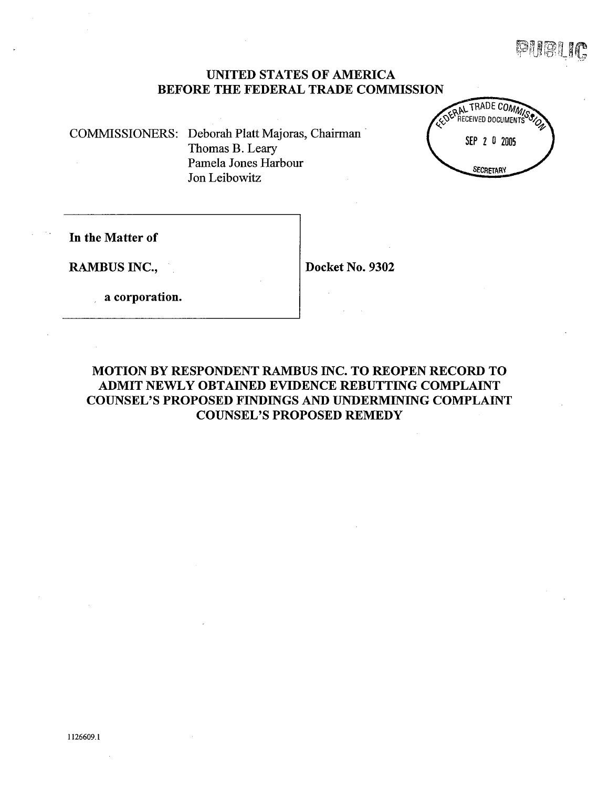t1 gj  $\mathbb{F}[\mathbb{F}]\times \mathbb{F}$ ,r If'j):

# UNITED STATES OF AMERICA BEFORE THE FEDERAL TRADE COMMISSION

COMMSSIONERS: Deborah Platt Majoras, Chairman . Thomas B. Lear Pamela Jones Harbour Jon Leibowitz



In the Matter of

RAMBUS INC., Docket No. 9302

a corporation.

# MOTION BY RESPONDENT RAMBUS INC. TO REOPEN RECORD TO ADMIT NEWLY OBTAINED EVIDENCE REBUTTING COMPLAINT COUNSEL'S PROPOSED FINDINGS AND UNDERMINING COMPLAINT COUNSEL'S PROPOSED REMEDY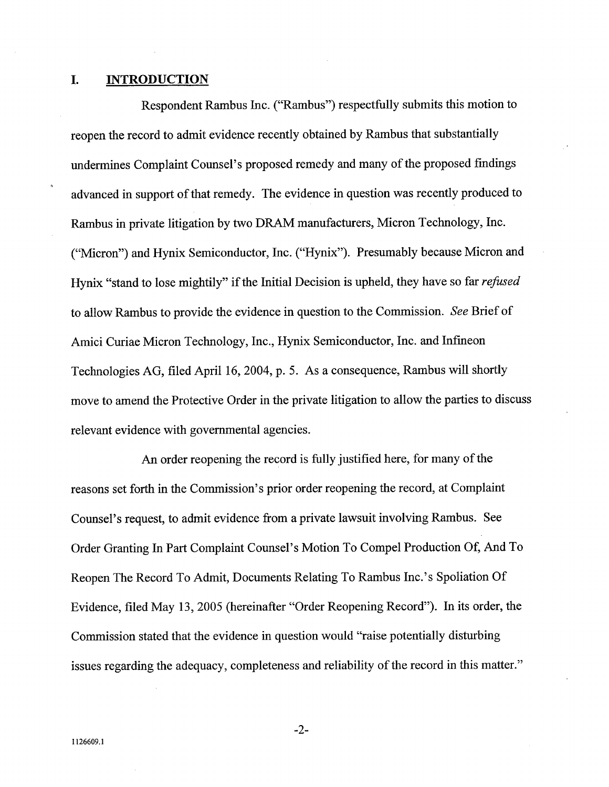#### L. INTRODUCTION

Respondent Rambus Inc. ("Rambus") respectfully submits this motion to reopen the record to admit evidence recently obtained by Rambus that substantially undermines Complaint Counsel's proposed remedy and many of the proposed findings advanced in support of that remedy. The evidence in question was recently produced to Rambus in private litigation by two DRAM manufacturers, Micron Technology, Inc. Micron") and Hynix Semiconductor, Inc. ("Hynix"). Presumably because Micron and Hynix "stand to lose mightily" if the Initial Decision is upheld, they have so far *refused* to allow Rambus to provide the evidence in question to the Commission. See Brief of Amici Curiae Micron Technology, Inc., Hynix Semiconductor, Inc. and Infmeon Technologies AG, fied April 16, 2004, p. 5. As a consequence, Rambus wil shortly move to amend the Protective Order in the private litigation to allow the paries to discuss relevant evidence with governmental agencies.

An order reopening the record is fully justified here, for many of the reasons set forth in the Commission's prior order reopening the record, at Complaint Counsel's request, to admit evidence from a private lawsuit involving Rambus. See Order Granting In Part Complaint Counsel's Motion To Compel Production Of, And To Reopen The Record To Admit, Documents Relating To Rambus Inc.'s Spoliation Of Evidence, fied May 13 2005 (hereinafter "Order Reopening Record"). In its order, the Commission stated that the evidence in question would "raise potentially disturbing issues regarding the adequacy, completeness and reliability of the record in this matter.

 $-2-$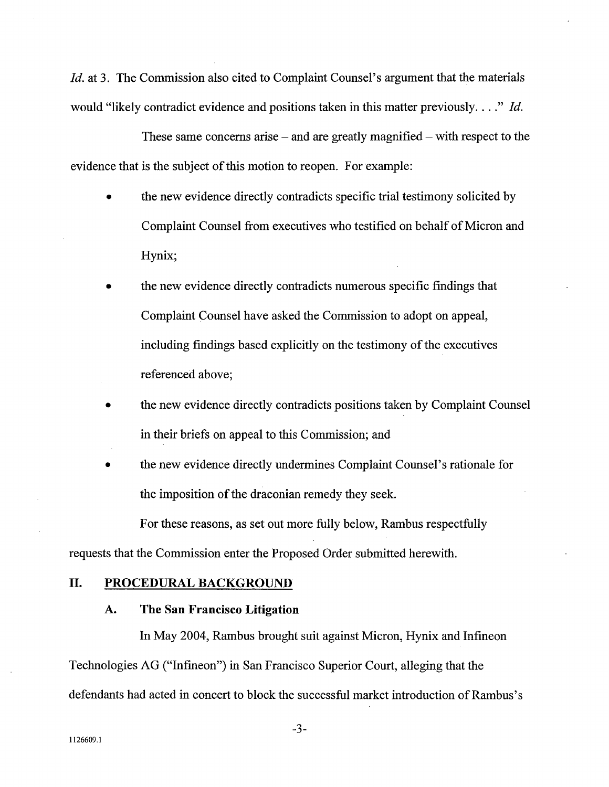Id. at 3. The Commission also cited to Complaint Counsel's argument that the materials would "likely contradict evidence and positions taken in this matter previously...." Id.

These same concerns arise  $-$  and are greatly magnified  $-$  with respect to the evidence that is the subject of this motion to reopen. For example:

- the new evidence directly contradicts specific trial testimony solicited by  $\bullet$ Complaint Counsel from executives who testified on behalf of Micron and Hynix;
- the new evidence directly contradicts numerous specific fmdings that Complaint Counsel have asked the Commission to adopt on appeal including findings based explicitly on the testimony of the executives referenced above;
- the new evidence directly contradicts positions taken by Complaint Counsel in their briefs on appeal to this Commission; and
- the new evidence directly undermines Complaint Counsel's rationale for the imposition of the draconian remedy they seek.

For these reasons, as set out more fully below, Rambus respectfully

requests that the Commission enter the Proposed Order submitted herewith.

## II. PROCEDURAL BACKGROUND

### $\bf{A}$ . The San Francisco Litigation

In May 2004, Rambus brought suit against Micron, Hynix and Infineon Technologies AG ("Infineon") in San Francisco Superior Court, alleging that the defendants had acted in concert to block the successful market introduction of Rambus's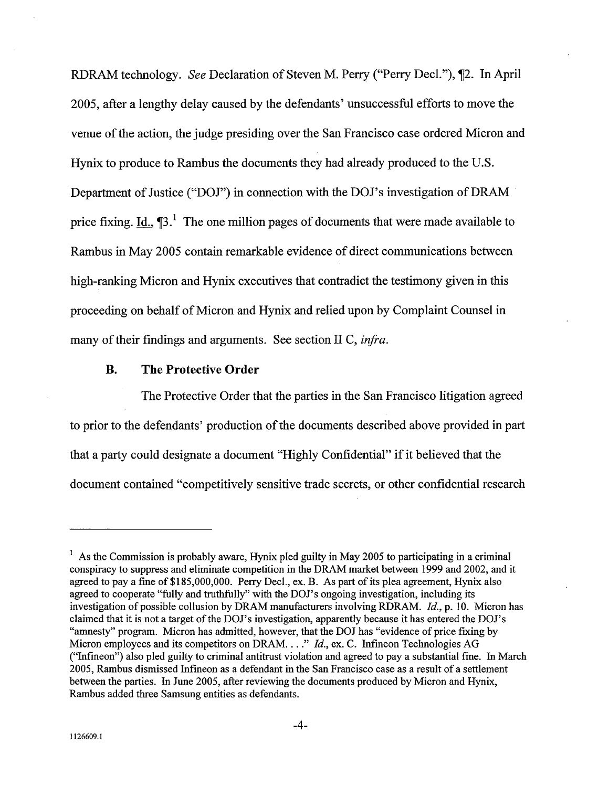RDRAM technology. See Declaration of Steven M. Perry ("Perry Decl."), 12. In April 2005, after a lengthy delay caused by the defendants' unsuccessful efforts to move the venue of the action, the judge presiding over the San Francisco case ordered Micron and Hynix to produce to Rambus the documents they had already produced to the U.S. Department of Justice ("DOJ") in connection with the DOJ's investigation of DRAM price fixing. Id.,  $\P$ 3.<sup>1</sup> The one million pages of documents that were made available to Rambus in May 2005 contain remarkable evidence of direct communications between high-ranking Micron and Hynix executives that contradict the testimony given in this proceeding on behalf of Micron and Hynix and relied upon by Complaint Counsel in many of their findings and arguments. See section II C,  $\inf$ a.

### **B.** The Protective Order

The Protective Order that the parties in the San Francisco litigation agreed to prior to the defendants' production of the documents described above provided in part that a party could designate a document "Highly Confidential" if it believed that the document contained "competitively sensitive trade secrets, or other confidential research

<sup>&</sup>lt;sup>1</sup> As the Commission is probably aware, Hynix pled guilty in May 2005 to participating in a criminal conspiracy to suppress and eliminate competition in the DRAM market between 1999 and 2002, and it agreed to pay a fine of \$185,000,000. Perry Decl., ex. B. As part of its plea agreement, Hynix also agreed to cooperate "fully and truthfully" with the DOJ's ongoing investigation, including its investigation of possible collusion by DRAM manufacturers involving RDRAM. Id., p. 10. Micron has claimed that it is not a target of the DOl's investigation, apparently because it has entered the DOl's "amnesty" program. Micron has admitted, however, that the DOJ has "evidence of price fixing by Micron employees and its competitors on DRAM. . . . " Id., ex. C. Infineon Technologies AG ("Infineon") also pled guilty to criminal antitrust violation and agreed to pay a substantial fine. In March 2005, Rambus dismissed Infineon as a defendant in the San Francisco case as a result of a settlement between the parties. In June 2005, after reviewing the documents produced by Micron and Hynix Rambus added three Samsung entities as defendants.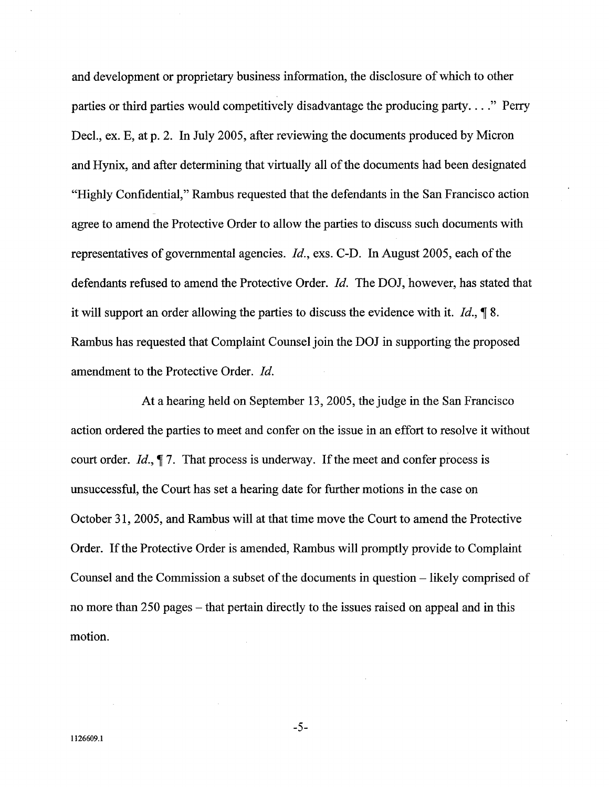and development or proprietary business information, the disclosure of which to other parties or third parties would competitively disadvantage the producing party...." Perry Decl., ex. E, at p. 2. In July 2005, after reviewing the documents produced by Micron and Hynix, and after determining that virtually all of the documents had been designated "Highly Confidential," Rambus requested that the defendants in the San Francisco action agree to amend the Protective Order to allow the paries to discuss such documents with representatives of governmental agencies. *Id.*, exs. C-D. In August 2005, each of the defendants refused to amend the Protective Order. *Id.* The DOJ, however, has stated that it will support an order allowing the parties to discuss the evidence with it. Id.,  $\oint 8$ . Rambus has requested that Complaint Counsel join the DOJ in supporting the proposed amendment to the Protective Order. Id.

At a hearing held on September 13 2005, the judge in the San Francisco action ordered the parties to meet and confer on the issue in an effort to resolve it without court order. Id.,  $\parallel$  7. That process is underway. If the meet and confer process is unsuccessful, the Court has set a hearing date for further motions in the case on October 31, 2005, and Rambus will at that time move the Court to amend the Protective Order. If the Protective Order is amended, Rambus will promptly provide to Complaint Counsel and the Commission a subset of the documents in question - likely comprised of no more than 250 pages – that pertain directly to the issues raised on appeal and in this motion.

 $-5-$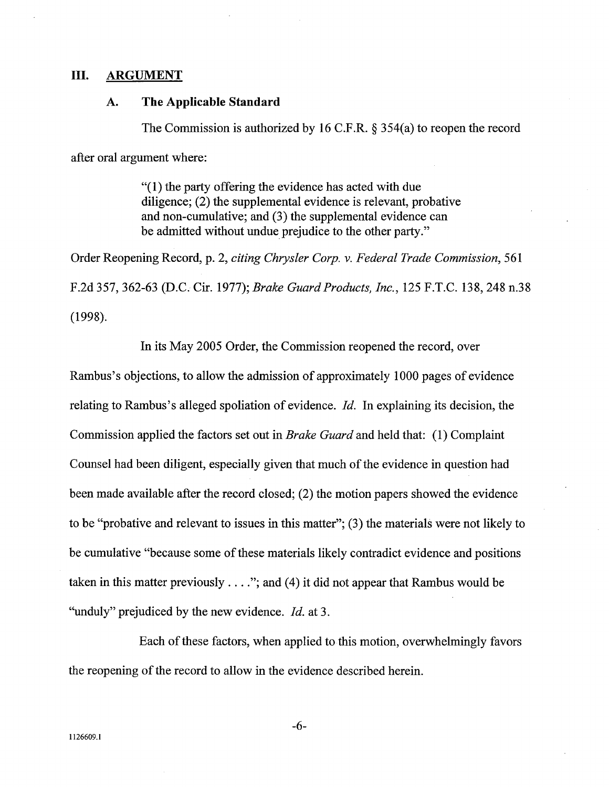## III. ARGUMENT

### The Applicable Standard A.

The Commission is authorized by 16 C.F.R.  $\S$  354(a) to reopen the record

after oral argument where:

 $(1)$  the party offering the evidence has acted with due dilgence; (2) the supplemental evidence is relevant, probative and non-cumulative; and (3) the supplemental evidence can be admitted without undue prejudice to the other party."

Order Reopening Record, p. 2, citing Chrysler Corp. v. Federal Trade Commission, 561 F.2d 357, 362-63 (D.C. Cir. 1977); *Brake Guard Products, Inc.*, 125 F.T.C. 138, 248 n.38 (1998).

In its May 2005 Order, the Commission reopened the record, over

Rambus's objections, to allow the admission of approximately 1000 pages of evidence relating to Rambus's alleged spoliation of evidence.  $Id$ . In explaining its decision, the Commission applied the factors set out in Brake Guard and held that: (1) Complaint Counsel had been dilgent, especially given that much of the evidence in question had been made available after the record closed; (2) the motion papers showed the evidence to be "probative and relevant to issues in this matter";  $(3)$  the materials were not likely to be cumulative "because some of these materials likely contradict evidence and positions taken in this matter previously  $\dots$ "; and (4) it did not appear that Rambus would be "unduly" prejudiced by the new evidence.  $Id$ . at 3.

Each of these factors, when applied to this motion, overwhelmingly favors the reopening of the record to allow in the evidence described herein.

-6-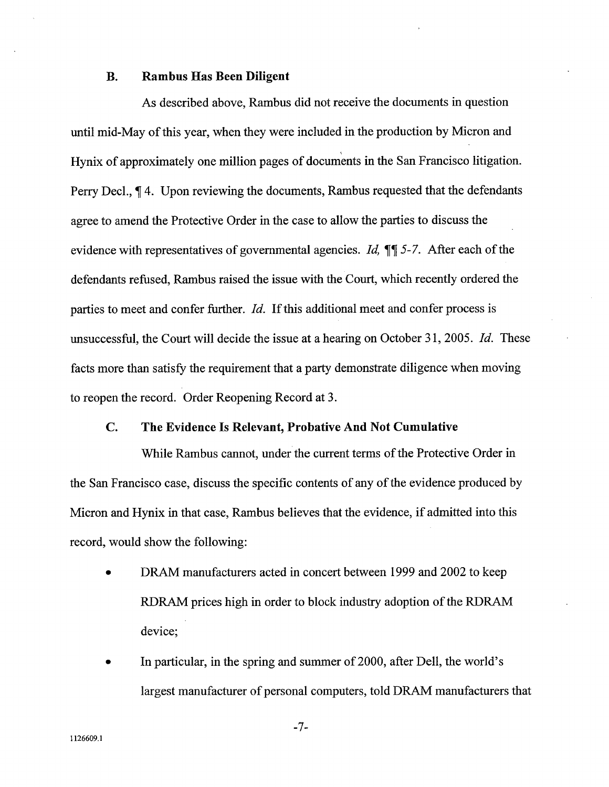#### **B.** Rambus Has Been Dilgent

As described above, Rambus did not receive the documents in question until mid-May of this year, when they were included in the production by Micron and Hynix of approximately one milion pages of documents in the San Francisco litigation. Perry Decl.,  $\P$  4. Upon reviewing the documents, Rambus requested that the defendants agree to amend the Protective Order in the case to allow the paries to discuss the evidence with representatives of governmental agencies. Id,  $\mathbb{I}$  5-7. After each of the defendants refused, Rambus raised the issue with the Court, which recently ordered the parties to meet and confer further. Id. If this additional meet and confer process is unsuccessful, the Court will decide the issue at a hearing on October 31, 2005. Id. These facts more than satisfy the requirement that a party demonstrate diligence when moving to reopen the record. Order Reopening Record at 3.

### $\overline{\mathbf{C}}$ . The Evidence Is Relevant, Probative And Not Cumulative

While Rambus cannot, under the current terms of the Protective Order in the San Francisco case, discuss the specific contents of any of the evidence produced by Micron and Hynix in that case, Rambus believes that the evidence, if admitted into this record, would show the following:

- DRAM manufacturers acted in concert between 1999 and 2002 to keep RDRAM prices high in order to block industry adoption of the RDRAM device;
- In particular, in the spring and summer of 2000, after Dell, the world's largest manufacturer of personal computers, told DRAM manufacturers that

 $-7-$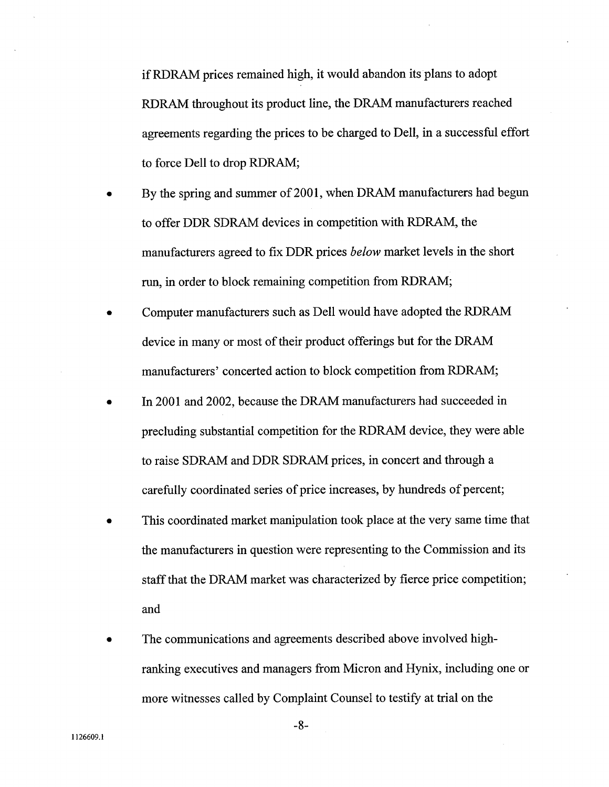if RDRAM prices remained high, it would abandon its plans to adopt RDRAM throughout its product line, the DRAM manufacturers reached agreements regarding the prices to be charged to Dell, in a successful effort to force Dell to drop RDRAM;

- By the spring and summer of 2001, when DRAM manufacturers had begun to offer DDR SDRAM devices in competition with RDRAM, the manufacturers agreed to fix DDR prices below market levels in the short run, in order to block remaining competition from RDRAM;
- Computer manufacturers such as Dell would have adopted the RDRA device in many or most of their product offerings but for the DRA manufacturers' concerted action to block competition from RDRAM;
- In 2001 and 2002, because the DRAM manufacturers had succeeded in precluding substantial competition for the RDRAM device, they were able to raise SDRAM and DDR SDRAM prices, in concert and through a carefully coordinated series of price increases, by hundreds of percent;
- This coordinated market manipulation took place at the very same time that the manufacturers in question were representing to the Commission and its staff that the DRAM market was characterized by fierce price competition; and
- The communications and agreements described above involved highranking executives and managers from Micron and Hynix, including one or more witnesses called by Complaint Counsel to testify at trial on the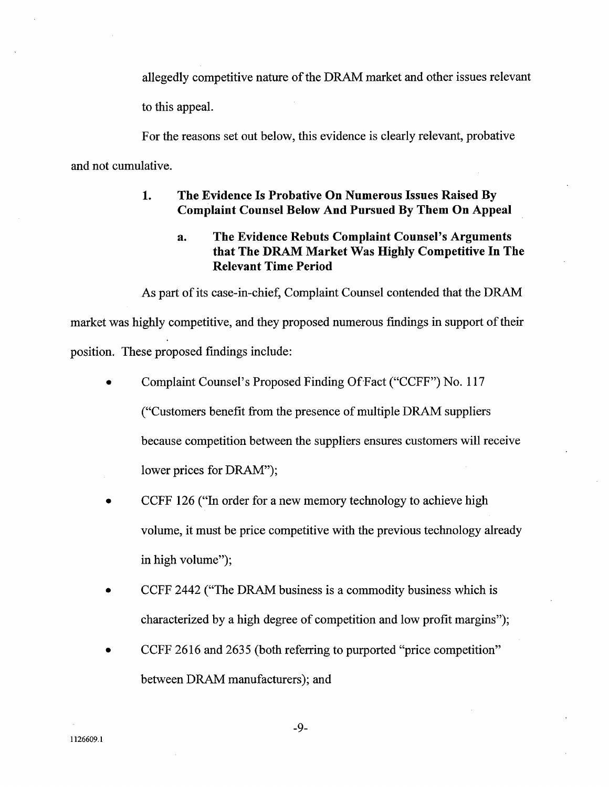allegedly competitive nature of the DRAM market and other issues relevant to this appeal.

For the reasons set out below, this evidence is clearly relevant, probative and not cumulative.

### 1. The Evidence Is Probative On Numerous Issues Raised By Complaint Counsel Below And Pursued By Them On Appeal

## The Evidence Rebuts Complaint Counsel's Arguments  $a<sub>1</sub>$ that The DRAM Market Was Highly Competitive In The Relevant Time Period

As part of its case-in-chief, Complaint Counsel contended that the DRAM market was highly competitive, and they proposed numerous findings in support of their position. These proposed findings include:

- Complaint Counsel's Proposed Finding Of Fact ("CCFF") No. 117 Customers benefit from the presence of multiple DRAM suppliers because competition between the suppliers ensures customers will receive lower prices for DRAM");
- CCFF 126 ("In order for a new memory technology to achieve high volume, it must be price competitive with the previous technology already in high volume");
- CCFF 2442 ("The DRAM business is a commodity business which is characterized by a high degree of competition and low profit margins
- CCFF 2616 and 2635 (both referring to purported "price competition" between DRAM manufacturers); and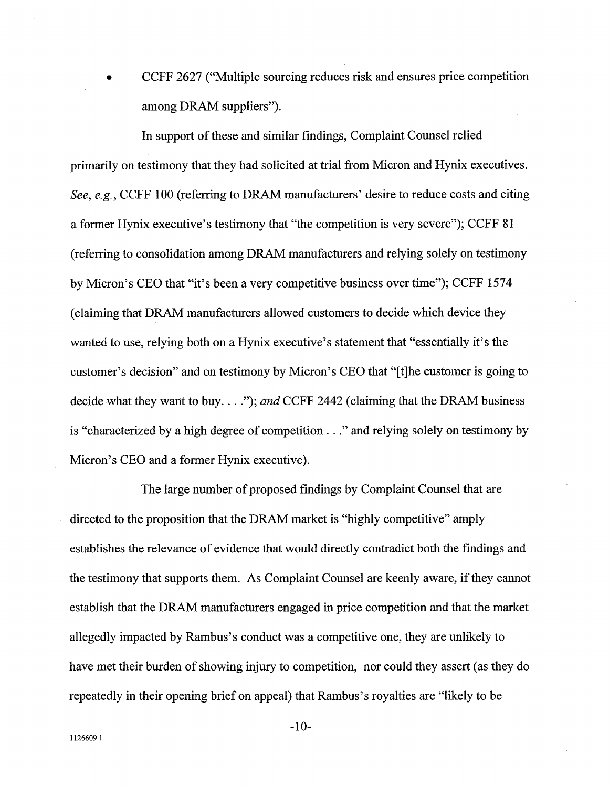CCFF 2627 ("Multiple sourcing reduces risk and ensures price competition among DRAM suppliers").

In support of these and similar findings, Complaint Counsel relied primarily on testimony that they had solicited at trial from Micron and Hynix executives. See, e.g., CCFF 100 (referring to DRAM manufacturers' desire to reduce costs and citing a former Hynix executive's testimony that "the competition is very severe"); CCFF 81 (referring to consolidation among DRAM manufacturers and relying solely on testimony by Micron's CEO that "it's been a very competitive business over time"); CCFF 1574 (claiming that DRAM manufacturers allowed customers to decide which device they wanted to use, relying both on a Hynix executive's statement that "essentially it's the customer's decision" and on testimony by Micron's CEO that "[t]he customer is going to decide what they want to buy. . . ."); and CCFF 2442 (claiming that the DRAM business is "characterized by a high degree of competition. . . " and relying solely on testimony by Micron's CEO and a former Hynix executive).

The large number of proposed findings by Complaint Counsel that are directed to the proposition that the DRAM market is "highly competitive" amply establishes the relevance of evidence that would directly contradict both the findings and the testimony that supports them. As Complaint Counsel are keenly aware, if they cannot establish that the DRAM manufacturers engaged in price competition and that the market allegedly impacted by Rambus's conduct was a competitive one, they are unlikely to have met their burden of showing injury to competition, nor could they assert (as they do repeatedly in their opening brief on appeal) that Rambus' s royalties are "likely to be

 $-10-$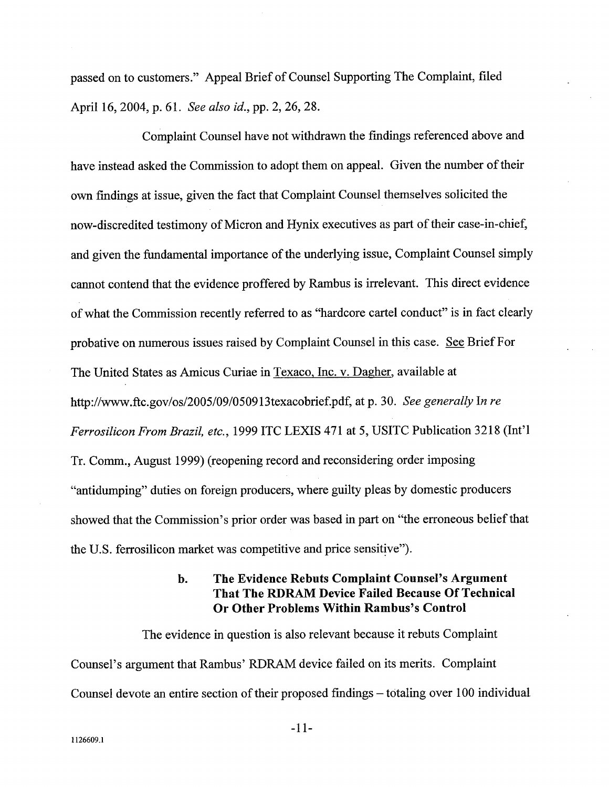passed on to customers." Appeal Brief of Counsel Supporting The Complaint, fied April 16, 2004, p. 61. See also id., pp. 2, 26, 28.

Complaint Counsel have not withdrawn the findings referenced above and have instead asked the Commission to adopt them on appeal. Given the number of their own findings at issue, given the fact that Complaint Counsel themselves solicited the now-discredited testimony of Micron and Hynix executives as part of their case-in-chief and given the fundamental importance of the underlying issue, Complaint Counsel simply canot contend that the evidence proffered by Rambus is irrelevant. This direct evidence of what the Commission recently referred to as "hardcore carel conduct" is in fact clearly probative on numerous issues raised by Complaint Counsel in this case. See Brief For The United States as Amicus Curiae in Texaco, Inc. v. Dagher, available at http://www.ftc.gov/os/2005/09/050913texacobrief.pdf, at p. 30. See generally In re Ferrosilicon From Brazil, etc., 1999 ITC LEXIS 471 at 5, USITC Publication 3218 (Int'l Tr. Comm., August 1999) (reopening record and reconsidering order imposing antidumping" duties on foreign producers, where guilty pleas by domestic producers showed that the Commission's prior order was based in part on "the erroneous belief that the U.S. ferrosilicon market was competitive and price sensitive").

## b. The Evidence Rebuts Complaint Counsel's Argument That The RDRAM Device Failed Because Of Technical Or Other Problems Within Rambus's Control

The evidence in question is also relevant because it rebuts Complaint Counsel's argument that Rambus' RDRAM device failed on its merits. Complaint Counsel devote an entire section of their proposed findings – totaling over 100 individual

11-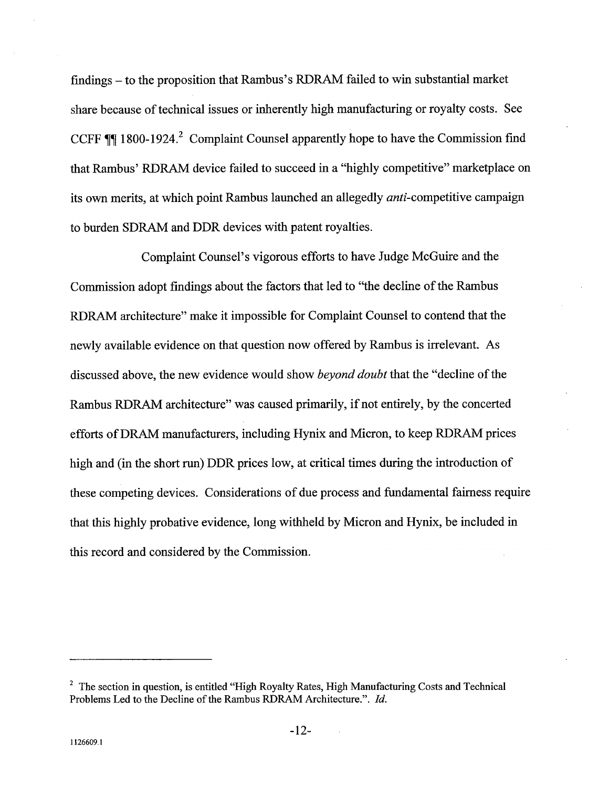findings - to the proposition that Rambus's RDRAM failed to win substantial market share because of technical issues or inherently high manufacturing or royalty costs. See CCFF  $~$  1800-1924.<sup>2</sup> Complaint Counsel apparently hope to have the Commission find that Rambus' RDRAM device failed to succeed in a "highly competitive" marketplace on its own merits, at which point Rambus launched an allegedly anti-competitive campaign to burden SDRAM and DDR devices with patent royalties.

Complaint Counsel's vigorous efforts to have Judge McGuire and the Commission adopt findings about the factors that led to "the decline of the Rambus RDRAM architecture" make it impossible for Complaint Counsel to contend that the newly available evidence on that question now offered by Rambus is irrelevant. As discussed above, the new evidence would show beyond doubt that the "decline of the Rambus RDRAM architecture" was caused primarily, if not entirely, by the concerted efforts of DRAM manufacturers, including Hynix and Micron, to keep RDRAM prices high and (in the short run) DDR prices low, at critical times during the introduction of these competing devices. Considerations of due process and fundamental fairness require that this highly probative evidence, long withheld by Micron and Hynix, be included in this record and considered by the Commission.

 $2\degree$  The section in question, is entitled "High Royalty Rates, High Manufacturing Costs and Technical Problems Led to the Decline of the Rambus RDRAM Architecture.". Id.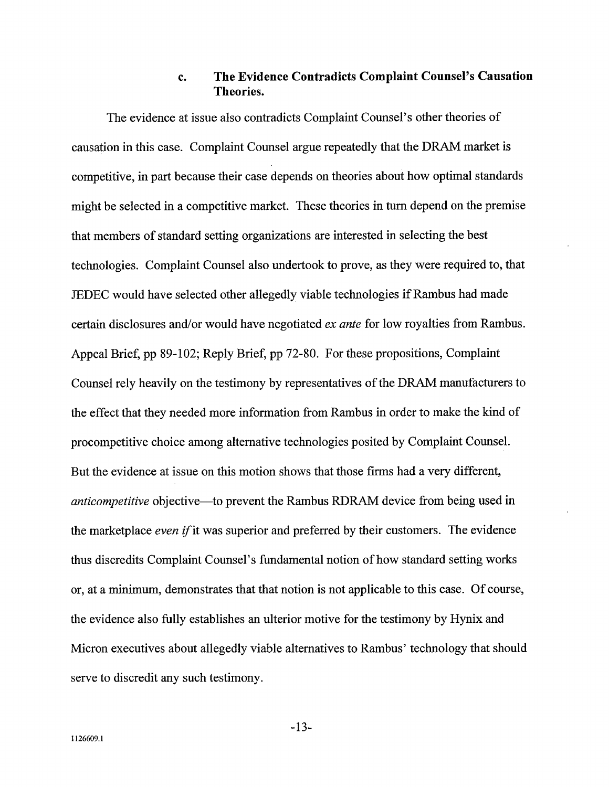### The Evidence Contradicts Complaint Counsel's Causation c. Theories.

The evidence at issue also contradicts Complaint Counsel's other theories of causation in this case. Complaint Counsel argue repeatedly that the DRAM market is competitive, in part because their case depends on theories about how optimal standards might be selected in a competitive market. These theories in turn depend on the premise that members of standard setting organizations are interested in selecting the best technologies. Complaint Counsel also undertook to prove, as they were required to, that JEDEC would have selected other allegedly viable technologies if Rambus had made certain disclosures and/or would have negotiated ex ante for low royalties from Rambus. Appeal Brief, pp 89- 102; Reply Brief, pp 72-80. For these propositions, Complaint Counsel rely heavily on the testimony by representatives of the DRAM manufacturers to the effect that they needed more information from Rambus in order to make the kind of procompetitive choice among alternative technologies posited by Complaint Counsel. But the evidence at issue on this motion shows that those firms had a very different anticompetitive objective—to prevent the Rambus RDRAM device from being used in the marketplace *even if* it was superior and preferred by their customers. The evidence thus discredits Complaint Counsel's fundamental notion of how standard setting works , at a minimum, demonstrates that that notion is not applicable to this case. Of course the evidence also fully establishes an ulterior motive for the testimony by Hynix and Micron executives about allegedly viable alternatives to Rambus' technology that should serve to discredit any such testimony.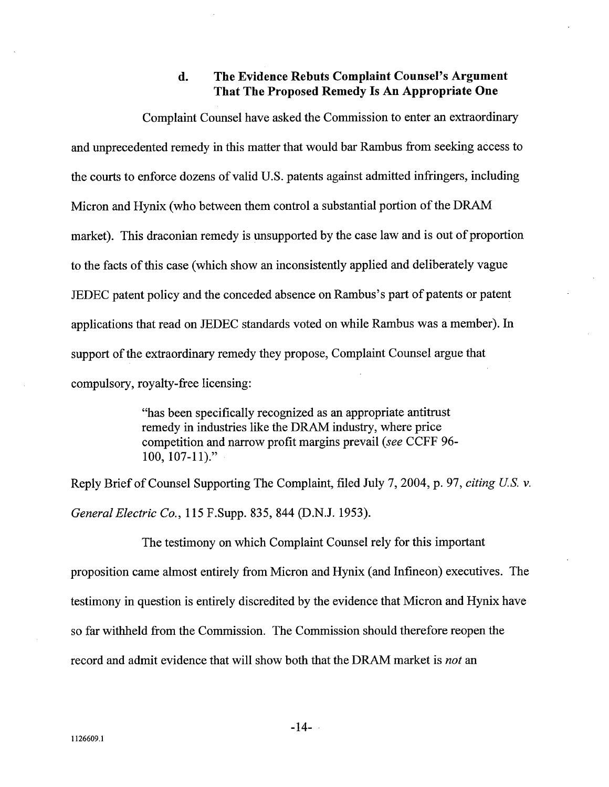### d. The Evidence Rebuts Complaint Counsel's Argument That The Proposed Remedy Is An Appropriate One

Complaint Counsel have asked the Commission to enter an extraordinar and unprecedented remedy in this matter that would bar Rambus from seeking access to the cours to enforce dozens of valid U.S. patents against admitted infringers, including Micron and Hynix (who between them control a substantial portion of the DRA market). This draconian remedy is unsupported by the case law and is out of proportion to the facts of this case (which show an inconsistently applied and deliberately vague JEDEC patent policy and the conceded absence on Rambus's part of patents or patent applications that read on JEDEC standards voted on while Rambus was a member). In support of the extraordinary remedy they propose, Complaint Counsel argue that compulsory, royalty-free licensing:

> has been specifically recognized as an appropriate antitrust remedy in industries like the DRAM industry, where price competition and narow profit margins prevail (see CCFF 96- 100, 107-11)."

Reply Brief of Counsel Supporting The Complaint, filed July 7, 2004, p. 97, citing U.S. v. General Electric Co. 115 F.Supp. 835, 844 (D.N.J. 1953).

The testimony on which Complaint Counsel rely for this important proposition came almost entirely from Micron and Hynix (and Infineon) executives. The testimony in question is entirely discredited by the evidence that Micron and Hynix have so far withheld from the Commission. The Commission should therefore reopen the record and admit evidence that will show both that the DRAM market is *not* an

1126609.1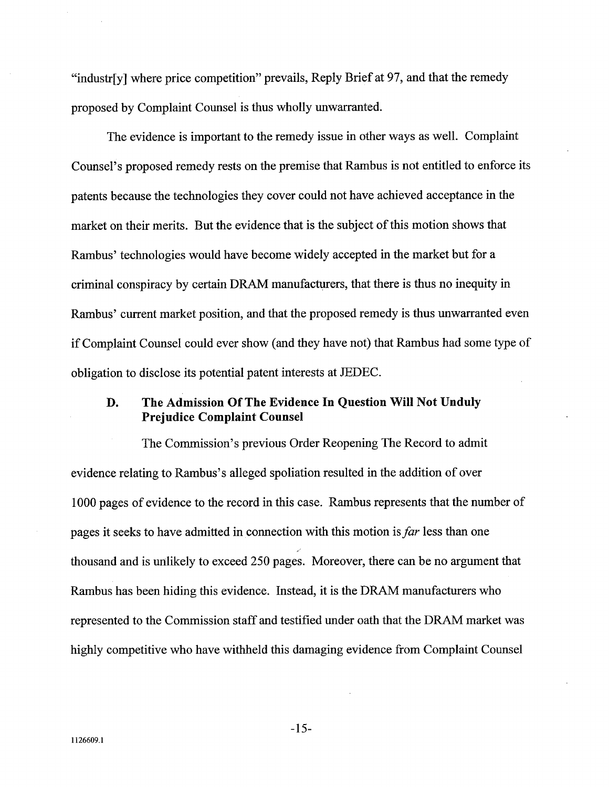"industr[y] where price competition" prevails, Reply Brief at 97, and that the remedy proposed by Complaint Counsel is thus wholly unwaranted.

The evidence is important to the remedy issue in other ways as well. Complaint Counsel's proposed remedy rests on the premise that Rambus is not entitled to enforce its patents because the technologies they cover could not have achieved acceptance in the market on their merits. But the evidence that is the subject of this motion shows that Rambus' technologies would have become widely accepted in the market but for a criminal conspiracy by certain DRAM manufacturers, that there is thus no inequity in Rambus' current market position, and that the proposed remedy is thus unwarranted even if Complaint Counsel could ever show (and they have not) that Rambus had some type of obligation to disclose its potential patent interests at JEDEC.

## The Admission Of The Evidence In Question Will Not Unduly D. Prejudice Complaint Counsel

The Commission's previous Order Reopening The Record to admit evidence relating to Rambus's alleged spoliation resulted in the addition of over 1000 pages of evidence to the record in this case. Rambus represents that the number of pages it seeks to have admitted in connection with this motion is far less than one thousand and is unlikely to exceed 250 pages. Moreover, there can be no argument that Rambus has been hiding this evidence. Instead, it is the DRAM manufacturers who represented to the Commission staff and testified under oath that the DRAM market was highly competitive who have withheld this damaging evidence from Complaint Counsel

 $-15-$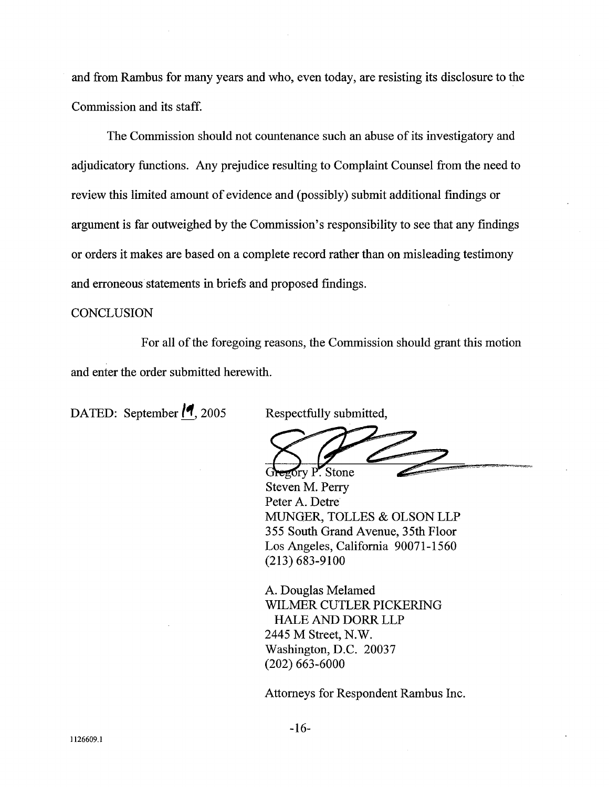and from Rambus for many years and who, even today, are resisting its disclosure to the Commission and its staff.

The Commission should not countenance such an abuse of its investigatory and adjudicatory functions. Any prejudice resulting to Complaint Counsel from the need to review this limited amount of evidence and (possibly) submit additional findings or argument is far outweighed by the Commission's responsibility to see that any findings or orders it makes are based on a complete record rather than on misleading testimony and erroneous statements in briefs and proposed findings.

## **CONCLUSION**

For all of the foregoing reasons, the Commission should grant this motion and enter the order submitted herewith.

DATED: September  $\sqrt{9}$ , 2005 Respectfully submitted,

gory P. Stone

Steven M. Perr Peter A. Detre MUGER, TOLLES & OLSON LLP 355 South Grand Avenue, 35th Ploor Los Angeles, California 90071-1560 (213) 683-9100

A. Douglas Melamed WILMER CUTLER PICKERING HALE AND DORR LLP 2445 M Street, N. Washington, D.C. 20037 (202) 663-6000

Attorneys for Respondent Rambus Inc.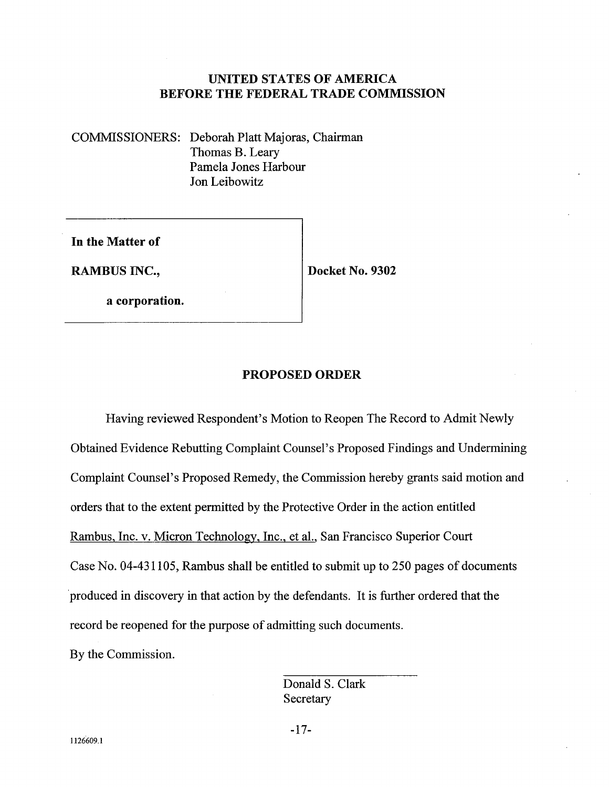# UNITED STATES OF AMERICA BEFORE THE FEDERAL TRADE COMMISSION

COMMSSIONERS: Deborah Platt Majoras, Chairman Thomas B. Leary Pamela Jones Harbour Jon Leibowitz

In the Matter of

RAMBUS INC.,  $|$  Docket No. 9302

a corporation.

## PROPOSED ORDER

Having reviewed Respondent's Motion to Reopen The Record to Admit Newly Obtained Evidence Rebutting Complaint Counsel's Proposed Findings and Undermining Complaint Counsel's Proposed Remedy, the Commission hereby grants said motion and orders that to the extent permitted by the Protective Order in the action entitled Rambus, Inc. v. Micron Technology, Inc., et aI., San Francisco Superior Court Case No. 04-431105, Rambus shall be entitled to submit up to 250 pages of documents produced in discovery in that action by the defendants. It is further ordered that the record be reopened for the purpose of admitting such documents. By the Commission.

> Donald S. Clark **Secretary**